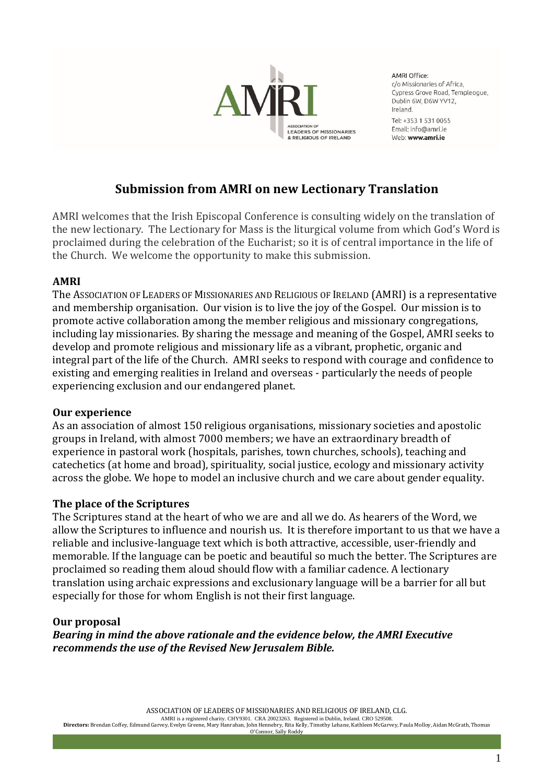

AMRI Office: c/o Missionaries of Africa, Cypress Grove Road, Templeogue. Dublin 6W, D6W YV12, Ireland Tel: +353 1 531 0055 Email: info@amri.je

Web: www.amri.ie

# **Submission from AMRI on new Lectionary Translation**

AMRI welcomes that the Irish Episcopal Conference is consulting widely on the translation of the new lectionary. The Lectionary for Mass is the liturgical volume from which God's Word is proclaimed during the celebration of the Eucharist; so it is of central importance in the life of the Church. We welcome the opportunity to make this submission.

## **AMRI**

The ASSOCIATION OF LEADERS OF MISSIONARIES AND RELIGIOUS OF IRELAND (AMRI) is a representative and membership organisation. Our vision is to live the joy of the Gospel. Our mission is to promote active collaboration among the member religious and missionary congregations, including lay missionaries. By sharing the message and meaning of the Gospel, AMRI seeks to develop and promote religious and missionary life as a vibrant, prophetic, organic and integral part of the life of the Church. AMRI seeks to respond with courage and confidence to existing and emerging realities in Ireland and overseas - particularly the needs of people experiencing exclusion and our endangered planet.

### **Our experience**

As an association of almost 150 religious organisations, missionary societies and apostolic groups in Ireland, with almost 7000 members; we have an extraordinary breadth of experience in pastoral work (hospitals, parishes, town churches, schools), teaching and catechetics (at home and broad), spirituality, social justice, ecology and missionary activity across the globe. We hope to model an inclusive church and we care about gender equality.

# **The place of the Scriptures**

The Scriptures stand at the heart of who we are and all we do. As hearers of the Word, we allow the Scriptures to influence and nourish us. It is therefore important to us that we have a reliable and inclusive-language text which is both attractive, accessible, user-friendly and memorable. If the language can be poetic and beautiful so much the better. The Scriptures are proclaimed so reading them aloud should flow with a familiar cadence. A lectionary translation using archaic expressions and exclusionary language will be a barrier for all but especially for those for whom English is not their first language.

# **Our proposal**

*Bearing in mind the above rationale and the evidence below, the AMRI Executive recommends the use of the Revised New Jerusalem Bible.*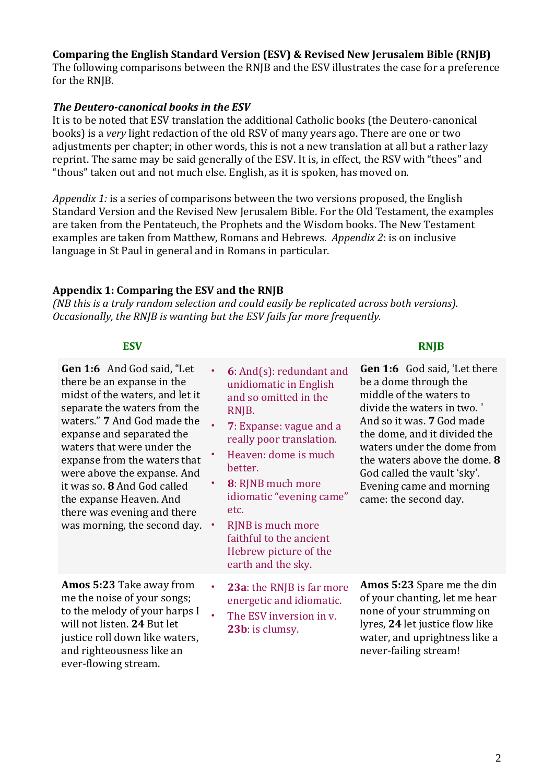# **Comparing the English Standard Version (ESV) & Revised New Jerusalem Bible (RNJB)**

The following comparisons between the RNJB and the ESV illustrates the case for a preference for the RNJB.

### *The Deutero-canonical books in the ESV*

It is to be noted that ESV translation the additional Catholic books (the Deutero-canonical books) is a *very* light redaction of the old RSV of many years ago. There are one or two adjustments per chapter; in other words, this is not a new translation at all but a rather lazy reprint. The same may be said generally of the ESV. It is, in effect, the RSV with "thees" and "thous" taken out and not much else. English, as it is spoken, has moved on.

*Appendix 1:* is a series of comparisons between the two versions proposed, the English Standard Version and the Revised New Jerusalem Bible. For the Old Testament, the examples are taken from the Pentateuch, the Prophets and the Wisdom books. The New Testament examples are taken from Matthew, Romans and Hebrews. *Appendix 2*: is on inclusive language in St Paul in general and in Romans in particular.

### **Appendix 1: Comparing the ESV and the RNJB**

*(NB this is a truly random selection and could easily be replicated across both versions). Occasionally, the RNJB is wanting but the ESV fails far more frequently.*

**Gen 1:6** And God said, "Let there be an expanse in the midst of the waters, and let it separate the waters from the waters." **7** And God made the expanse and separated the waters that were under the expanse from the waters that were above the expanse. And it was so. **8** And God called the expanse Heaven. And there was evening and there was morning, the second day. •

**Amos 5:23** Take away from me the noise of your songs; to the melody of your harps I will not listen. **24** But let justice roll down like waters, and righteousness like an ever-flowing stream.

- **6**: And(s): redundant and unidiomatic in English and so omitted in the RNJB.
- **7**: Expanse: vague and a really poor translation.
- Heaven: dome is much better.
- **8**: RJNB much more idiomatic "evening came" etc.
	- RJNB is much more faithful to the ancient Hebrew picture of the earth and the sky.
- **23a**: the RNJB is far more energetic and idiomatic.
- The ESV inversion in v. **23b**: is clumsy.

### **ESV RNJB**

**Gen 1:6** God said, 'Let there be a dome through the middle of the waters to divide the waters in two. ' And so it was. **7** God made the dome, and it divided the waters under the dome from the waters above the dome. **8** God called the vault 'sky'. Evening came and morning came: the second day.

**Amos 5:23** Spare me the din of your chanting, let me hear none of your strumming on lyres, **24** let justice flow like water, and uprightness like a never-failing stream!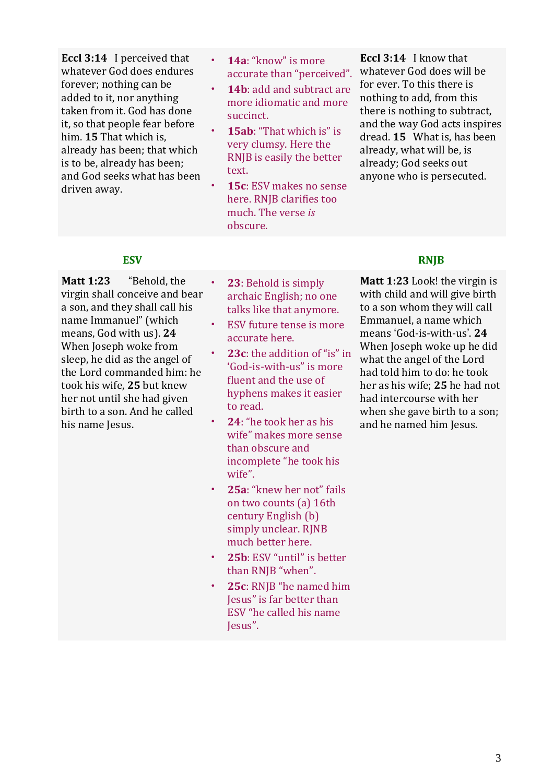**Eccl 3:14** I perceived that whatever God does endures forever; nothing can be added to it, nor anything taken from it. God has done it, so that people fear before him. **15** That which is, already has been; that which is to be, already has been; and God seeks what has been driven away.

- **14a**: "know" is more accurate than "perceived".
- 14b: add and subtract are more idiomatic and more succinct.
- **15ab**: "That which is" is very clumsy. Here the RNJB is easily the better text.
- **15c**: ESV makes no sense here. RNJB clarifies too much. The verse *is* obscure.

**Eccl 3:14** I know that whatever God does will be for ever. To this there is nothing to add, from this there is nothing to subtract, and the way God acts inspires dread. **15** What is, has been already, what will be, is already; God seeks out anyone who is persecuted.

**Matt 1:23** "Behold, the virgin shall conceive and bear a son, and they shall call his name Immanuel" (which means, God with us). **24** When Joseph woke from sleep, he did as the angel of the Lord commanded him: he took his wife, **25** but knew her not until she had given birth to a son. And he called his name Jesus.

- **23**: Behold is simply archaic English; no one talks like that anymore.
- ESV future tense is more accurate here.
- **23c**: the addition of "is" in 'God-is-with-us" is more fluent and the use of hyphens makes it easier to read.
- **24**: "he took her as his wife" makes more sense than obscure and incomplete "he took his wife".
- **25a**: "knew her not" fails on two counts (a) 16th century English (b) simply unclear. RINB much better here.
- **25b**: ESV "until" is better than RNJB "when".
- **25c**: RNJB "he named him Jesus" is far better than ESV "he called his name Jesus".

### **ESV RNJB**

**Matt 1:23** Look! the virgin is with child and will give birth to a son whom they will call Emmanuel, a name which means 'God-is-with-us'. **24** When Joseph woke up he did what the angel of the Lord had told him to do: he took her as his wife; **25** he had not had intercourse with her when she gave birth to a son; and he named him Jesus.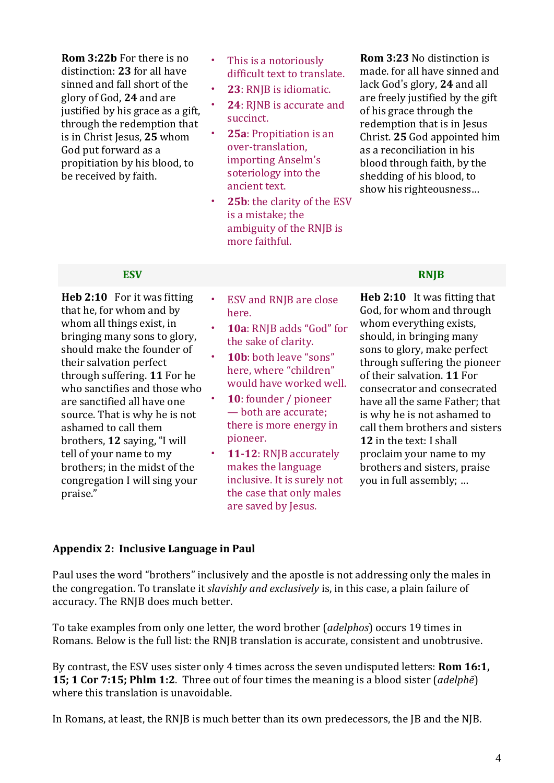**Rom 3:22b** For there is no distinction: **23** for all have sinned and fall short of the glory of God, **24** and are justified by his grace as a gift, through the redemption that is in Christ Jesus, **25** whom God put forward as a propitiation by his blood, to be received by faith.

- This is a notoriously difficult text to translate.
- **23**: RNJB is idiomatic.
- **24**: RJNB is accurate and succinct.
- **25a**: Propitiation is an over-translation, importing Anselm's soteriology into the ancient text.
- 25b: the clarity of the ESV is a mistake; the ambiguity of the RNJB is more faithful.

**Rom 3:23** No distinction is made. for all have sinned and lack God's glory, **24** and all are freely justified by the gift of his grace through the redemption that is in Jesus Christ. **25** God appointed him as a reconciliation in his blood through faith, by the shedding of his blood, to show his righteousness…

**Heb 2:10** For it was fitting that he, for whom and by whom all things exist, in bringing many sons to glory, should make the founder of their salvation perfect through suffering. **11** For he who sanctifies and those who are sanctified all have one source. That is why he is not ashamed to call them brothers, **12** saying, "I will tell of your name to my brothers; in the midst of the congregation I will sing your praise."

- ESV and RNJB are close here.
- **10a**: RNJB adds "God" for the sake of clarity.
- **10b**: both leave "sons" here, where "children" would have worked well.
- 10: founder / pioneer — both are accurate; there is more energy in pioneer.
- **11-12**: RNJB accurately makes the language inclusive. It is surely not the case that only males are saved by Jesus.

# **ESV RNJB**

**Heb 2:10** It was fitting that God, for whom and through whom everything exists, should, in bringing many sons to glory, make perfect through suffering the pioneer of their salvation. **11** For consecrator and consecrated have all the same Father; that is why he is not ashamed to call them brothers and sisters **12** in the text: I shall proclaim your name to my brothers and sisters, praise you in full assembly; …

### **Appendix 2: Inclusive Language in Paul**

Paul uses the word "brothers" inclusively and the apostle is not addressing only the males in the congregation. To translate it *slavishly and exclusively* is, in this case, a plain failure of accuracy. The RNJB does much better.

To take examples from only one letter, the word brother (*adelphos*) occurs 19 times in Romans. Below is the full list: the RNJB translation is accurate, consistent and unobtrusive.

By contrast, the ESV uses sister only 4 times across the seven undisputed letters: **Rom 16:1, 15; 1 Cor 7:15; Phlm 1:2**. Three out of four times the meaning is a blood sister (*adelphē*) where this translation is unavoidable.

In Romans, at least, the RNJB is much better than its own predecessors, the JB and the NJB.